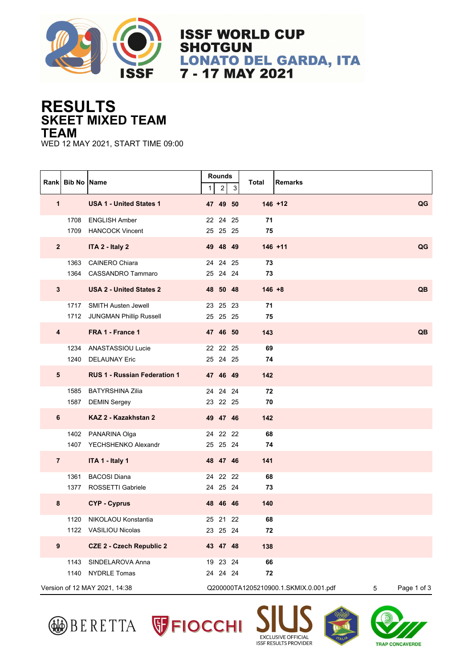

**ISSF WORLD CUP SHOTGUN LONATO DEL GARDA, ITA** 7 - 17 MAY 2021

## **SKEET MIXED TEAM RESULTS TEAM**

WED 12 MAY 2021, START TIME 09:00

|                               | Rank Bib No Name |                                                          | 1 | <b>Rounds</b><br>$\overline{2}$                           | 3 | Total     | <b>Remarks</b> |  |           |
|-------------------------------|------------------|----------------------------------------------------------|---|-----------------------------------------------------------|---|-----------|----------------|--|-----------|
| 1                             |                  | <b>USA 1 - United States 1</b>                           |   | 47 49 50                                                  |   |           | $146 + 12$     |  | QG        |
|                               | 1708             | <b>ENGLISH Amber</b><br>1709 HANCOCK Vincent             |   | 22 24 25<br>25 25 25                                      |   | 71<br>75  |                |  |           |
| $\overline{2}$                |                  | ITA 2 - Italy 2                                          |   | 49 48 49                                                  |   |           | $146 + 11$     |  | QG        |
|                               | 1363<br>1364     | <b>CAINERO Chiara</b><br><b>CASSANDRO Tammaro</b>        |   | 24 24 25<br>25 24 24                                      |   | 73<br>73  |                |  |           |
| $\mathbf{3}$                  |                  | <b>USA 2 - United States 2</b>                           |   | 48 50 48                                                  |   | $146 + 8$ |                |  | <b>QB</b> |
|                               |                  | 1717 SMITH Austen Jewell<br>1712 JUNGMAN Phillip Russell |   | 23 25 23<br>25 25 25                                      |   | 71<br>75  |                |  |           |
| $\overline{\mathbf{4}}$       |                  | FRA 1 - France 1                                         |   | 47 46 50                                                  |   | 143       |                |  | QB        |
|                               | 1240             | 1234 ANASTASSIOU Lucie<br><b>DELAUNAY Eric</b>           |   | 22 22 25<br>25 24 25                                      |   | 69<br>74  |                |  |           |
| 5                             |                  | <b>RUS 1 - Russian Federation 1</b>                      |   | 47 46 49                                                  |   | 142       |                |  |           |
|                               | 1585             | <b>BATYRSHINA Zilia</b><br>1587 DEMIN Sergey             |   | 24 24 24<br>23 22 25                                      |   | 72<br>70  |                |  |           |
| 6                             |                  | KAZ 2 - Kazakhstan 2                                     |   | 49 47 46                                                  |   | 142       |                |  |           |
|                               |                  | 1402 PANARINA Olga<br>1407 YECHSHENKO Alexandr           |   | 24 22 22<br>25 25 24                                      |   | 68<br>74  |                |  |           |
| $\overline{7}$                |                  | ITA 1 - Italy 1                                          |   | 48 47 46                                                  |   | 141       |                |  |           |
|                               | 1361<br>1377     | <b>BACOSI Diana</b><br>ROSSETTI Gabriele                 |   | 24 22 22<br>24 25 24                                      |   | 68<br>73  |                |  |           |
| 8                             |                  | <b>CYP - Cyprus</b>                                      |   | 48 46 46                                                  |   | 140       |                |  |           |
|                               | 1120             | NIKOLAOU Konstantia<br>1122 VASILIOU Nicolas             |   | 25 21 22<br>23  25  24                                    |   | 68<br>72  |                |  |           |
| $\boldsymbol{9}$              |                  | <b>CZE 2 - Czech Republic 2</b>                          |   | 43 47 48                                                  |   | 138       |                |  |           |
|                               | 1143<br>1140     | SINDELAROVA Anna<br><b>NYDRLE Tomas</b>                  |   | 19 23 24<br>24 24 24                                      |   | 66<br>72  |                |  |           |
| Version of 12 MAY 2021, 14:38 |                  |                                                          |   | Q200000TA1205210900.1.SKMIX.0.001.pdf<br>Page 1 of 3<br>5 |   |           |                |  |           |









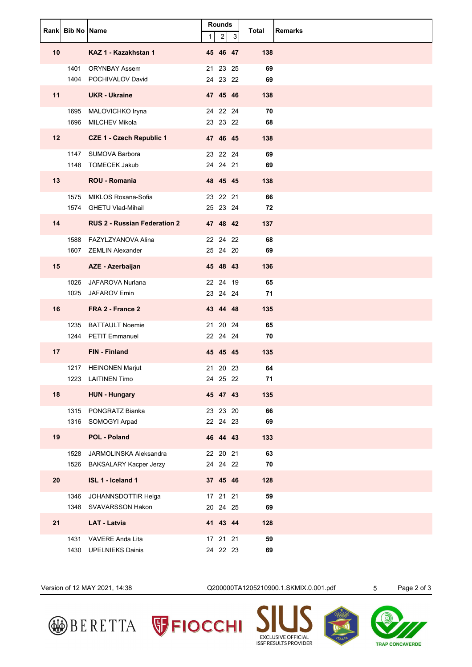|                 | Rank Bib No Name |                                               | 1 | <b>Rounds</b><br>$\overline{c}$ | 3 | Total     | Remarks |
|-----------------|------------------|-----------------------------------------------|---|---------------------------------|---|-----------|---------|
| 10              |                  | KAZ 1 - Kazakhstan 1                          |   | 45 46 47                        |   | 138       |         |
|                 |                  | 1401 ORYNBAY Assem                            |   | 21 23 25                        |   | 69        |         |
| 11              |                  | 1404 POCHIVALOV David<br><b>UKR</b> - Ukraine |   | 24 23 22<br>47 45 46            |   | 69<br>138 |         |
|                 |                  |                                               |   |                                 |   | 70        |         |
|                 |                  | 1695 MALOVICHKO Iryna<br>1696 MILCHEV Mikola  |   | 24 22 24<br>23 23 22            |   | 68        |         |
| 12 <sub>2</sub> |                  | <b>CZE 1 - Czech Republic 1</b>               |   | 47 46 45                        |   | 138       |         |
|                 |                  | 1147 SUMOVA Barbora                           |   | 23 22 24                        |   | 69        |         |
|                 |                  | 1148 TOMECEK Jakub                            |   | 24 24 21                        |   | 69        |         |
| 13              |                  | <b>ROU - Romania</b>                          |   | 48 45 45                        |   | 138       |         |
|                 |                  | 1575 MIKLOS Roxana-Sofia                      |   | 23 22 21                        |   | 66        |         |
|                 |                  | 1574 GHETU Vlad-Mihail                        |   | 25 23 24                        |   | 72        |         |
| 14              |                  | <b>RUS 2 - Russian Federation 2</b>           |   | 47 48 42                        |   | 137       |         |
|                 |                  | 1588 FAZYLZYANOVA Alina                       |   | 22 24 22                        |   | 68        |         |
|                 |                  | 1607 ZEMLIN Alexander                         |   | 25 24 20                        |   | 69        |         |
| 15              |                  | AZE - Azerbaijan                              |   | 45 48 43                        |   | 136       |         |
|                 |                  | 1026 JAFAROVA Nurlana                         |   | 22 24 19<br>23 24 24            |   | 65<br>71  |         |
|                 |                  | 1025 JAFAROV Emin                             |   |                                 |   |           |         |
| 16              |                  | FRA 2 - France 2                              |   | 43 44 48                        |   | 135       |         |
|                 |                  | 1235 BATTAULT Noemie<br>1244 PETIT Emmanuel   |   | 21 20 24<br>22 24 24            |   | 65<br>70  |         |
| 17 <sub>2</sub> |                  | FIN - Finland                                 |   | 45 45 45                        |   | 135       |         |
|                 |                  | 1217 HEINONEN Marjut                          |   | 21 20 23                        |   | 64        |         |
|                 | 1223             | <b>LAITINEN Timo</b>                          |   | 24  25  22                      |   | 71        |         |
| 18              |                  | <b>HUN - Hungary</b>                          |   | 45 47 43                        |   | 135       |         |
|                 |                  | 1315 PONGRATZ Bianka                          |   | 23 23 20                        |   | 66        |         |
|                 |                  | 1316 SOMOGYI Arpad                            |   | 22 24 23                        |   | 69        |         |
| 19              |                  | <b>POL - Poland</b>                           |   | 46 44 43                        |   | 133       |         |
|                 | 1528             | JARMOLINSKA Aleksandra                        |   | 22 20 21                        |   | 63        |         |
|                 | 1526             | BAKSALARY Kacper Jerzy                        |   | 24  24  22                      |   | 70        |         |
| 20              |                  | ISL 1 - Iceland 1                             |   | 37 45 46                        |   | 128       |         |
|                 | 1346             | JOHANNSDOTTIR Helga<br>1348 SVAVARSSON Hakon  |   | 17 21 21<br>20 24 25            |   | 59<br>69  |         |
| 21              |                  | <b>LAT - Latvia</b>                           |   | 41 43 44                        |   | 128       |         |
|                 | 1431             | VAVERE Anda Lita                              |   | 17 21 21                        |   | 59        |         |
|                 |                  | 1430 UPELNIEKS Dainis                         |   | 24 22 23                        |   | 69        |         |

Version of 12 MAY 2021, 14:38 Q200000TA1205210900.1.SKMIX.0.001.pdf 5 Page 2 of 3